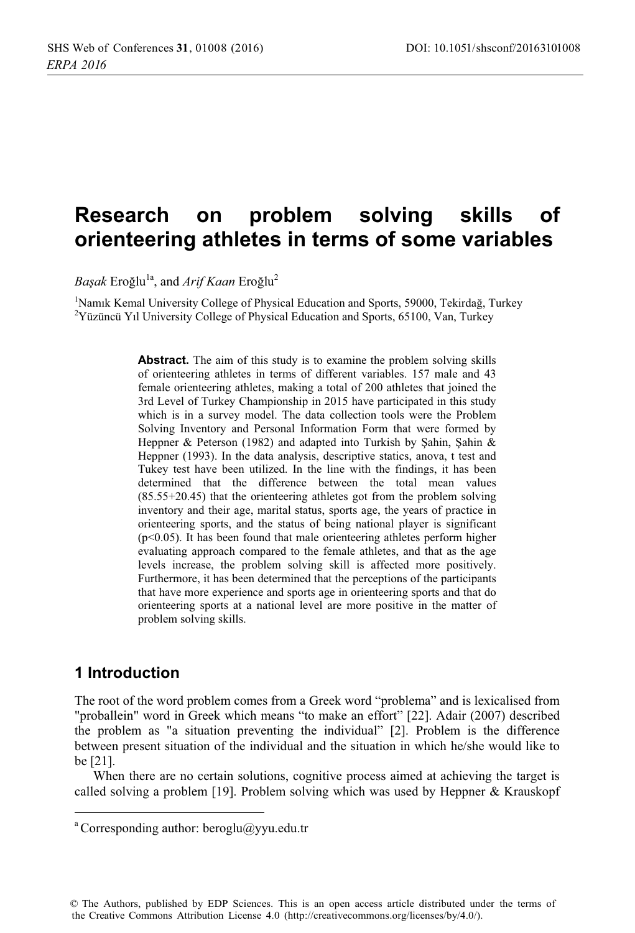### **Research** on problem solving skills of orienteering athletes in terms of some variables

Başak Eroğlu<sup>1a</sup>, and Arif Kaan Eroğlu<sup>2</sup>

<sup>1</sup>Namik Kemal University College of Physical Education and Sports, 59000, Tekirdağ, Turkey <sup>2</sup>Yüzüncü Yıl University College of Physical Education and Sports, 65100, Van, Turkey

> **Abstract.** The aim of this study is to examine the problem solving skills of orienteering athletes in terms of different variables. 157 male and 43 female orienteering athletes, making a total of 200 athletes that joined the 3rd Level of Turkey Championship in 2015 have participated in this study which is in a survey model. The data collection tools were the Problem Solving Inventory and Personal Information Form that were formed by Heppner & Peterson (1982) and adapted into Turkish by Sahin, Sahin & Heppner (1993). In the data analysis, descriptive statics, anova, t test and Tukey test have been utilized. In the line with the findings, it has been determined that the difference between the total mean values  $(85.55+20.45)$  that the orienteering athletes got from the problem solving inventory and their age, marital status, sports age, the years of practice in orienteering sports, and the status of being national player is significant  $(p<0.05)$ . It has been found that male orienteering athletes perform higher evaluating approach compared to the female athletes, and that as the age levels increase, the problem solving skill is affected more positively. Furthermore, it has been determined that the perceptions of the participants that have more experience and sports age in orienteering sports and that do orienteering sports at a national level are more positive in the matter of problem solving skills.

# 1 Introduction

The root of the word problem comes from a Greek word "problema" and is lexicalised from "proballein" word in Greek which means "to make an effort" [22]. Adair (2007) described the problem as "a situation preventing the individual" [2]. Problem is the difference between present situation of the individual and the situation in which he/she would like to be  $[21]$ .

When there are no certain solutions, cognitive process aimed at achieving the target is called solving a problem [19]. Problem solving which was used by Heppner & Krauskopf

<sup>&</sup>lt;sup>a</sup> Corresponding author: beroglu@yyu.edu.tr

<sup>©</sup> The Authors, published by EDP Sciences. This is an open access article distributed under the terms of the Creative Commons Attribution License 4.0 (http://creativecommons.org/licenses/by/4.0/).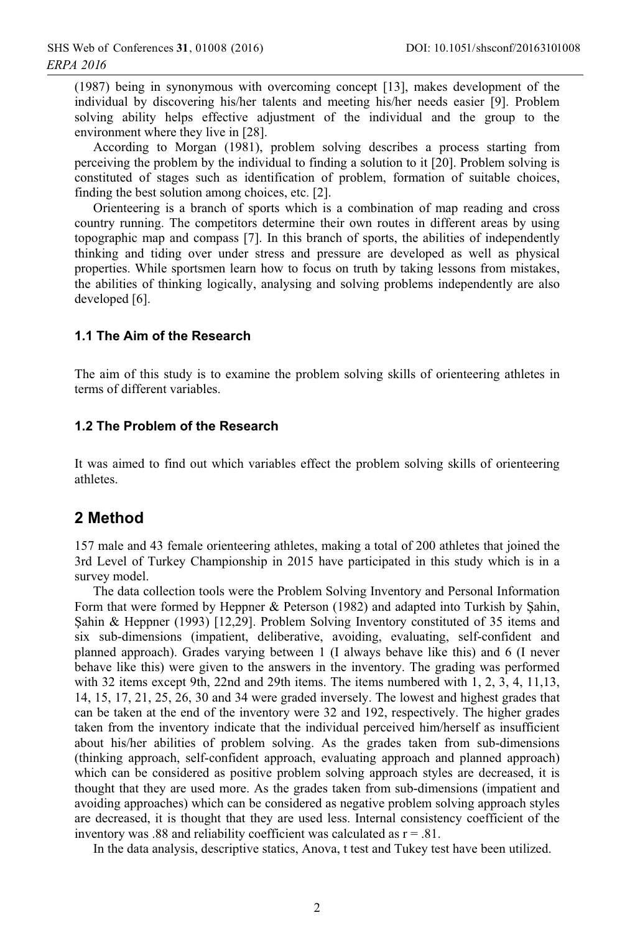(1987) being in synonymous with overcoming concept [13], makes development of the individual by discovering his/her talents and meeting his/her needs easier [9]. Problem solving ability helps effective adjustment of the individual and the group to the environment where they live in [28].

According to Morgan (1981), problem solving describes a process starting from perceiving the problem by the individual to finding a solution to it [20]. Problem solving is constituted of stages such as identification of problem, formation of suitable choices, finding the best solution among choices, etc. [2].

Orienteering is a branch of sports which is a combination of map reading and cross country running. The competitors determine their own routes in different areas by using topographic map and compass [7]. In this branch of sports, the abilities of independently thinking and tiding over under stress and pressure are developed as well as physical properties. While sportsmen learn how to focus on truth by taking lessons from mistakes, the abilities of thinking logically, analysing and solving problems independently are also developed [6].

### 1.1 The Aim of the Research

The aim of this study is to examine the problem solving skills of orienteering athletes in terms of different variables.

#### 1.2 The Problem of the Research

It was aimed to find out which variables effect the problem solving skills of orienteering athletes.

### 2 Method

157 male and 43 female orienteering athletes, making a total of 200 athletes that joined the 3rd Level of Turkey Championship in 2015 have participated in this study which is in a survey model.

The data collection tools were the Problem Solving Inventory and Personal Information Form that were formed by Heppner & Peterson (1982) and adapted into Turkish by Sahin, Sahin & Heppner (1993) [12,29]. Problem Solving Inventory constituted of 35 items and six sub-dimensions (impatient, deliberative, avoiding, evaluating, self-confident and planned approach). Grades varying between 1 (I always behave like this) and 6 (I never behave like this) were given to the answers in the inventory. The grading was performed with 32 items except 9th, 22nd and 29th items. The items numbered with  $1, 2, 3, 4, 11, 13$ ,  $14, 15, 17, 21, 25, 26, 30$  and 34 were graded inversely. The lowest and highest grades that can be taken at the end of the inventory were 32 and 192, respectively. The higher grades taken from the inventory indicate that the individual perceived him/herself as insufficient about his/her abilities of problem solving. As the grades taken from sub-dimensions (thinking approach, self-confident approach, evaluating approach and planned approach) which can be considered as positive problem solving approach styles are decreased, it is thought that they are used more. As the grades taken from sub-dimensions (impatient and avoiding approaches) which can be considered as negative problem solving approach styles are decreased, it is thought that they are used less. Internal consistency coefficient of the inventory was .88 and reliability coefficient was calculated as  $r = .81$ .

In the data analysis, descriptive statics, Anova, t test and Tukey test have been utilized.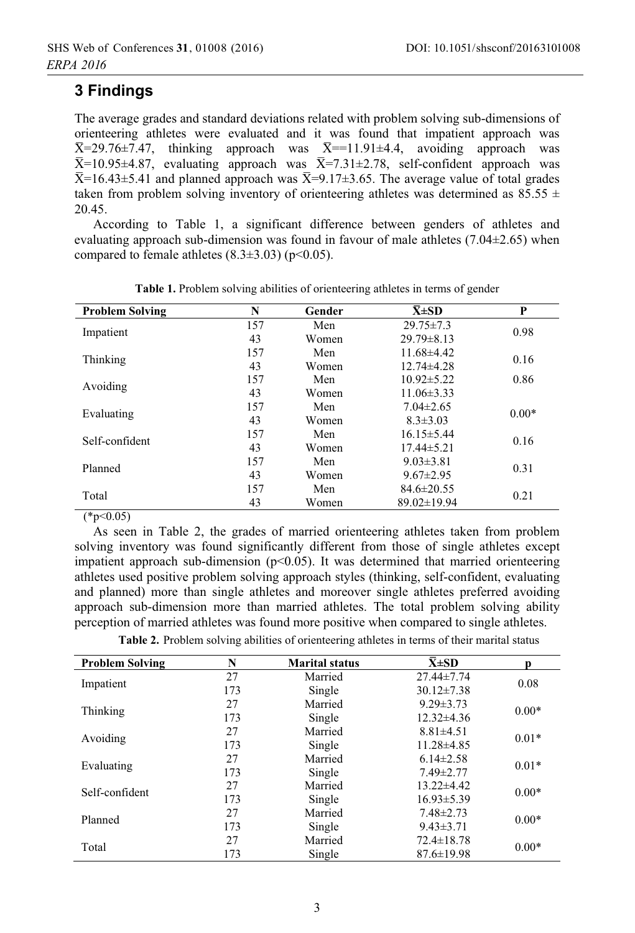# **3 Findinas**

The average grades and standard deviations related with problem solving sub-dimensions of orienteering athletes were evaluated and it was found that impatient approach was  $\overline{X}$ =29.76±7.47, thinking approach was  $\overline{X}$ ==11.91±4.4, avoiding approach was  $\overline{X}$ =10.95±4.87, evaluating approach was  $\overline{X}$ =7.31±2.78, self-confident approach was  $\overline{X}$ =16.43±5.41 and planned approach was  $\overline{X}$ =9.17±3.65. The average value of total grades taken from problem solving inventory of orienteering athletes was determined as 85.55  $\pm$ 20.45.

According to Table 1, a significant difference between genders of athletes and evaluating approach sub-dimension was found in favour of male athletes  $(7.04\pm2.65)$  when compared to female athletes  $(8.3\pm3.03)$  (p<0.05).

| <b>Problem Solving</b> | N   | Gender | $\bar{X} \pm SD$  | P       |  |
|------------------------|-----|--------|-------------------|---------|--|
| Impatient              | 157 | Men    | $29.75 \pm 7.3$   | 0.98    |  |
|                        | 43  | Women  | $29.79 \pm 8.13$  |         |  |
|                        | 157 | Men    | $11.68\pm4.42$    | 0.16    |  |
| Thinking               | 43  | Women  | $12.74\pm4.28$    |         |  |
|                        | 157 | Men    | $10.92 \pm 5.22$  | 0.86    |  |
| Avoiding               | 43  | Women  | $11.06\pm3.33$    |         |  |
| Evaluating             | 157 | Men    | $7.04 \pm 2.65$   | $0.00*$ |  |
|                        | 43  | Women  | $8.3 \pm 3.03$    |         |  |
| Self-confident         | 157 | Men    | $16.15 \pm 5.44$  | 0.16    |  |
|                        | 43  | Women  | $17.44\pm 5.21$   |         |  |
| Planned                | 157 | Men    | $9.03 \pm 3.81$   | 0.31    |  |
|                        | 43  | Women  | $9.67 \pm 2.95$   |         |  |
|                        | 157 | Men    | $84.6 \pm 20.55$  |         |  |
| Total                  | 43  | Women  | $89.02 \pm 19.94$ | 0.21    |  |

Table 1. Problem solving abilities of orienteering athletes in terms of gender

 $(*p<0.05)$ 

As seen in Table 2, the grades of married orienteering athletes taken from problem solving inventory was found significantly different from those of single athletes except impatient approach sub-dimension ( $p<0.05$ ). It was determined that married orienteering athletes used positive problem solving approach styles (thinking, self-confident, evaluating and planned) more than single athletes and moreover single athletes preferred avoiding approach sub-dimension more than married athletes. The total problem solving ability perception of married athletes was found more positive when compared to single athletes.

Table 2. Problem solving abilities of orienteering athletes in terms of their marital status

| <b>Problem Solving</b> | N   | <b>Marital status</b> | $\bar{\mathbf{X}} \pm \mathbf{SD}$ | Ŋ       |
|------------------------|-----|-----------------------|------------------------------------|---------|
| Impatient              | 27  | Married               | $27.44 \pm 7.74$                   | 0.08    |
|                        | 173 | Single                | $30.12 \pm 7.38$                   |         |
| Thinking               | 27  | Married               | $9.29 \pm 3.73$                    | $0.00*$ |
|                        | 173 | Single                | $12.32\pm4.36$                     |         |
| Avoiding               | 27  | Married               | $8.81 \pm 4.51$                    | $0.01*$ |
|                        | 173 | Single                | $11.28 \pm 4.85$                   |         |
| Evaluating             | 27  | Married               | $6.14 \pm 2.58$                    | $0.01*$ |
|                        | 173 | Single                | $7.49 \pm 2.77$                    |         |
| Self-confident         | 27  | Married               | $13.22 \pm 4.42$                   | $0.00*$ |
|                        | 173 | Single                | $16.93 \pm 5.39$                   |         |
| Planned                | 27  | Married               | $7.48 \pm 2.73$                    |         |
|                        | 173 | Single                | $9.43 \pm 3.71$                    | $0.00*$ |
|                        | 27  | Married               | $72.4 \pm 18.78$                   |         |
| Total                  | 173 | Single                | $87.6 \pm 19.98$                   | $0.00*$ |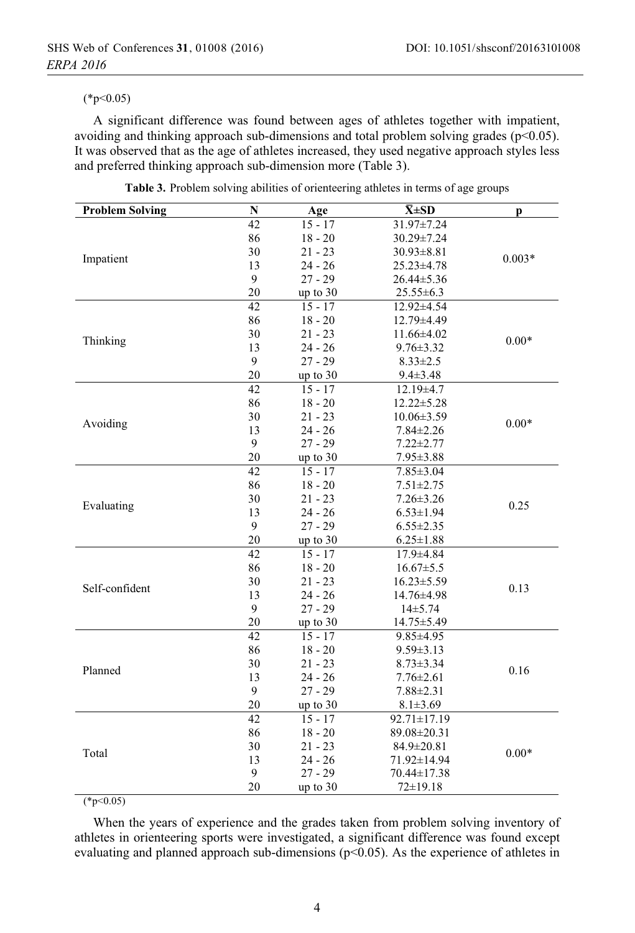#### $(*p<0.05)$

A significant difference was found between ages of athletes together with impatient, avoiding and thinking approach sub-dimensions and total problem solving grades ( $p$ <0.05). It was observed that as the age of athletes increased, they used negative approach styles less and preferred thinking approach sub-dimension more (Table 3).

| <b>Problem Solving</b> | N            | Age        | $\bar{X} \pm SD$ | p        |  |
|------------------------|--------------|------------|------------------|----------|--|
|                        | 42           | $15 - 17$  | 31.97±7.24       |          |  |
|                        | 86           | $18 - 20$  | 30.29±7.24       |          |  |
|                        | 30           | $21 - 23$  | $30.93 \pm 8.81$ |          |  |
| Impatient              | 13           | $24 - 26$  | 25.23±4.78       | $0.003*$ |  |
|                        | $\mathbf{9}$ | $27 - 29$  | 26.44±5.36       |          |  |
|                        | 20           | up to $30$ | $25.55 \pm 6.3$  |          |  |
|                        | 42           | $15 - 17$  | 12.92±4.54       |          |  |
|                        | 86           | $18 - 20$  | 12.79±4.49       |          |  |
|                        | 30           | $21 - 23$  | 11.66±4.02       | $0.00*$  |  |
| Thinking               | 13           | $24 - 26$  | $9.76 \pm 3.32$  |          |  |
|                        | 9            | $27 - 29$  | $8.33 \pm 2.5$   |          |  |
|                        | 20           | up to $30$ | $9.4 \pm 3.48$   |          |  |
|                        | 42           | $15 - 17$  | 12.19±4.7        |          |  |
|                        | 86           | $18 - 20$  | $12.22 \pm 5.28$ |          |  |
|                        | 30           | $21 - 23$  | $10.06 \pm 3.59$ |          |  |
| Avoiding               | 13           | $24 - 26$  | $7.84 \pm 2.26$  | $0.00*$  |  |
|                        | 9            | $27 - 29$  | $7.22 \pm 2.77$  |          |  |
|                        | 20           | up to 30   | $7.95 \pm 3.88$  |          |  |
|                        | 42           | $15 - 17$  | $7.85 \pm 3.04$  |          |  |
|                        | 86           | $18 - 20$  | $7.51 \pm 2.75$  | 0.25     |  |
|                        | 30           | $21 - 23$  | $7.26 \pm 3.26$  |          |  |
| Evaluating             | 13           | $24 - 26$  | $6.53 \pm 1.94$  |          |  |
|                        | 9            | $27 - 29$  | $6.55 \pm 2.35$  |          |  |
|                        | 20           | up to 30   | $6.25 \pm 1.88$  |          |  |
|                        | 42           | $15 - 17$  | $17.9 \pm 4.84$  |          |  |
|                        | 86           | $18 - 20$  | $16.67 \pm 5.5$  |          |  |
|                        | 30           | $21 - 23$  | $16.23 \pm 5.59$ |          |  |
| Self-confident         | 13           | $24 - 26$  | 14.76±4.98       | 0.13     |  |
|                        | 9            | $27 - 29$  | $14\pm 5.74$     |          |  |
|                        | 20           | up to 30   | 14.75±5.49       |          |  |
|                        | 42           | $15 - 17$  | $9.85 \pm 4.95$  |          |  |
|                        | 86           | $18 - 20$  | $9.59 \pm 3.13$  |          |  |
|                        | 30           | $21 - 23$  | $8.73 \pm 3.34$  |          |  |
| Planned                | 13           | $24 - 26$  | $7.76 \pm 2.61$  | 0.16     |  |
|                        | 9            | $27 - 29$  | $7.88 \pm 2.31$  |          |  |
|                        | 20           | up to 30   | $8.1 \pm 3.69$   |          |  |
|                        | 42           | $15 - 17$  | 92.71±17.19      |          |  |
|                        | 86           | $18 - 20$  | 89.08±20.31      |          |  |
|                        | 30           | $21 - 23$  | 84.9±20.81       |          |  |
| Total                  | 13           | $24 - 26$  | 71.92±14.94      | $0.00*$  |  |
|                        | 9            | $27 - 29$  | 70.44±17.38      |          |  |
|                        | 20           | up to $30$ | $72 \pm 19.18$   |          |  |

Table 3. Problem solving abilities of orienteering athletes in terms of age groups

 $(*p<0.05)$ 

When the years of experience and the grades taken from problem solving inventory of athletes in orienteering sports were investigated, a significant difference was found except evaluating and planned approach sub-dimensions ( $p<0.05$ ). As the experience of athletes in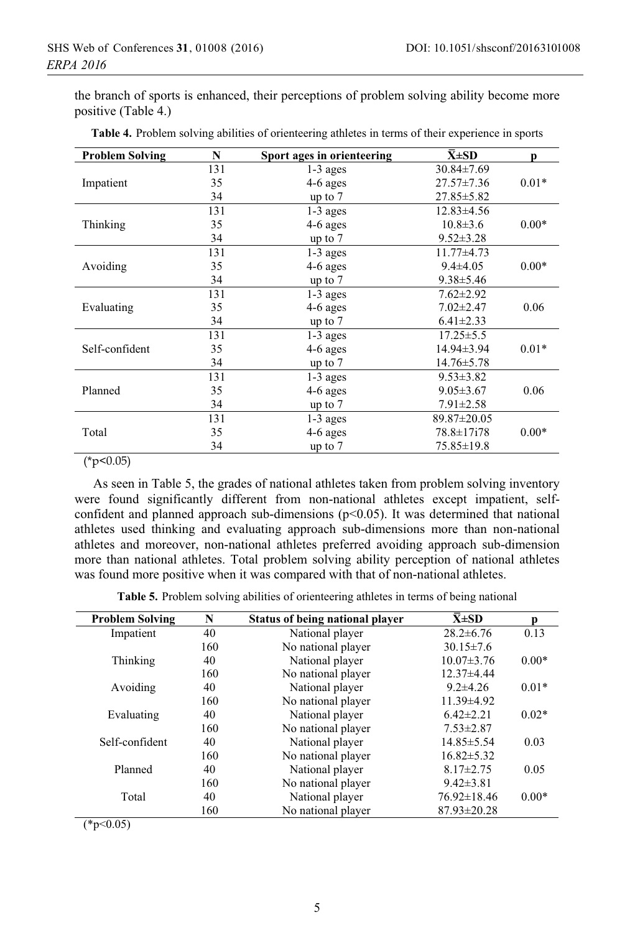the branch of sports is enhanced, their perceptions of problem solving ability become more positive (Table 4.)

| <b>Problem Solving</b> | N   | Sport ages in orienteering | $\bar{X}$ ±SD    | D       |
|------------------------|-----|----------------------------|------------------|---------|
| Impatient              | 131 | $1-3$ ages                 | $30.84 \pm 7.69$ |         |
|                        | 35  | $4-6$ ages                 | $27.57 \pm 7.36$ | $0.01*$ |
|                        | 34  | up to $7$                  | 27.85 ± 5.82     |         |
| Thinking               | 131 | $1-3$ ages                 | $12.83\pm4.56$   |         |
|                        | 35  | 4-6 ages                   | $10.8 \pm 3.6$   | $0.00*$ |
|                        | 34  | up to $7$                  | $9.52 \pm 3.28$  |         |
| Avoiding               | 131 | $1-3$ ages                 | $11.77 \pm 4.73$ |         |
|                        | 35  | 4-6 ages                   | $9.4 \pm 4.05$   | $0.00*$ |
|                        | 34  | up to $7$                  | $9.38 \pm 5.46$  |         |
| Evaluating             | 131 | $1-3$ ages                 | $7.62 \pm 2.92$  |         |
|                        | 35  | 4-6 ages                   | $7.02 \pm 2.47$  | 0.06    |
|                        | 34  | up to $7$                  | $6.41 \pm 2.33$  |         |
| Self-confident         | 131 | $1-3$ ages                 | $17.25 \pm 5.5$  |         |
|                        | 35  | 4-6 ages                   | 14.94±3.94       | $0.01*$ |
|                        | 34  | up to $7$                  | 14.76±5.78       |         |
| Planned                | 131 | $1-3$ ages                 | $9.53 \pm 3.82$  |         |
|                        | 35  | 4-6 ages                   | $9.05 \pm 3.67$  | 0.06    |
|                        | 34  | up to $7$                  | $7.91 \pm 2.58$  |         |
| Total                  | 131 | 1-3 ages                   | 89.87±20.05      |         |
|                        | 35  | 4-6 ages                   | 78.8±17i78       | $0.00*$ |
|                        | 34  | up to $7$                  | 75.85±19.8       |         |

 $(*p<0.05)$ 

As seen in Table 5, the grades of national athletes taken from problem solving inventory were found significantly different from non-national athletes except impatient, selfconfident and planned approach sub-dimensions ( $p<0.05$ ). It was determined that national athletes used thinking and evaluating approach sub-dimensions more than non-national athletes and moreover, non-national athletes preferred avoiding approach sub-dimension more than national athletes. Total problem solving ability perception of national athletes was found more positive when it was compared with that of non-national athletes.

Table 5. Problem solving abilities of orienteering athletes in terms of being national

| <b>Problem Solving</b> | N   | Status of being national player | $\bar{X} \pm SD$  |         |
|------------------------|-----|---------------------------------|-------------------|---------|
| Impatient              | 40  | National player                 | $28.2 \pm 6.76$   | 0.13    |
|                        | 160 | No national player              | $30.15 \pm 7.6$   |         |
| Thinking               | 40  | National player                 | $10.07 \pm 3.76$  | $0.00*$ |
|                        | 160 | No national player              | $12.37\pm4.44$    |         |
| Avoiding               | 40  | National player                 | $9.2 \pm 4.26$    | $0.01*$ |
|                        | 160 | No national player              | 11.39±4.92        |         |
| Evaluating             | 40  | National player                 | $6.42 \pm 2.21$   | $0.02*$ |
|                        | 160 | No national player              | $7.53 \pm 2.87$   |         |
| Self-confident         | 40  | National player                 | 14.85 ± 5.54      | 0.03    |
|                        | 160 | No national player              | $16.82 \pm 5.32$  |         |
| Planned                | 40  | National player                 | $8.17 \pm 2.75$   | 0.05    |
|                        | 160 | No national player              | $9.42 \pm 3.81$   |         |
| Total                  | 40  | National player                 | $76.92 \pm 18.46$ | $0.00*$ |
|                        | 160 | No national player              | $87.93 \pm 20.28$ |         |

 $(*p<0.05)$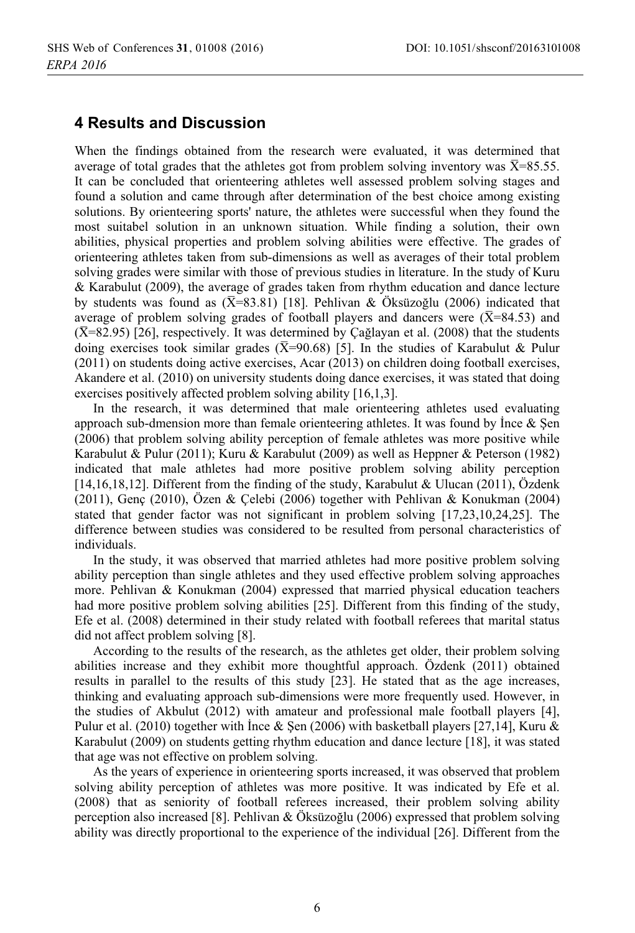### **4 Results and Discussion**

When the findings obtained from the research were evaluated, it was determined that average of total grades that the athletes got from problem solving inventory was  $\bar{X}$ =85.55. It can be concluded that orienteering athletes well assessed problem solving stages and found a solution and came through after determination of the best choice among existing solutions. By orienteering sports' nature, the athletes were successful when they found the most suitabel solution in an unknown situation. While finding a solution, their own abilities, physical properties and problem solving abilities were effective. The grades of orienteering athletes taken from sub-dimensions as well as averages of their total problem solving grades were similar with those of previous studies in literature. In the study of Kuru & Karabulut (2009), the average of grades taken from rhythm education and dance lecture by students was found as  $(\overline{X} = 83.81)$  [18]. Pehlivan & Öksüzoğlu (2006) indicated that average of problem solving grades of football players and dancers were ( $\overline{X}$ =84.53) and  $(\overline{X}=82.95)$  [26], respectively. It was determined by Cağlayan et al. (2008) that the students doing exercises took similar grades ( $\overline{X}$ =90.68) [5]. In the studies of Karabulut & Pulur  $(2011)$  on students doing active exercises, Acar  $(2013)$  on children doing football exercises, Akandere et al. (2010) on university students doing dance exercises, it was stated that doing exercises positively affected problem solving ability [16,1,3].

In the research, it was determined that male orienteering athletes used evaluating approach sub-dmension more than female orienteering athletes. It was found by Ince  $\&$  Sen (2006) that problem solving ability perception of female athletes was more positive while Karabulut & Pulur (2011); Kuru & Karabulut (2009) as well as Heppner & Peterson (1982) indicated that male athletes had more positive problem solving ability perception [14,16,18,12]. Different from the finding of the study, Karabulut & Ulucan (2011), Özdenk  $(2011)$ , Genç  $(2010)$ , Özen & Çelebi  $(2006)$  together with Pehlivan & Konukman  $(2004)$ stated that gender factor was not significant in problem solving  $[17,23,10,24,25]$ . The difference between studies was considered to be resulted from personal characteristics of individuals.

In the study, it was observed that married at hetes had more positive problem solving ability perception than single athletes and they used effective problem solving approaches more. Pehlivan & Konukman (2004) expressed that married physical education teachers had more positive problem solving abilities [25]. Different from this finding of the study, Efe et al. (2008) determined in their study related with football referees that marital status did not affect problem solving [8].

According to the results of the research, as the athletes get older, their problem solving abilities increase and they exhibit more thoughtful approach. Özdenk (2011) obtained results in parallel to the results of this study [23]. He stated that as the age increases, thinking and evaluating approach sub-dimensions were more frequently used. However, in the studies of Akbulut (2012) with amateur and professional male football players [4], Pulur et al. (2010) together with Ince & Sen (2006) with basketball players [27,14], Kuru & Karabulut (2009) on students getting rhythm education and dance lecture [18], it was stated that age was not effective on problem solving.

As the years of experience in orienteering sports increased, it was observed that problem solving ability perception of athletes was more positive. It was indicated by Efe et al. (2008) that as seniority of football referees increased, their problem solving ability perception also increased [8]. Pehlivan & Öksüzoğlu (2006) expressed that problem solving ability was directly proportional to the experience of the individual [26]. Different from the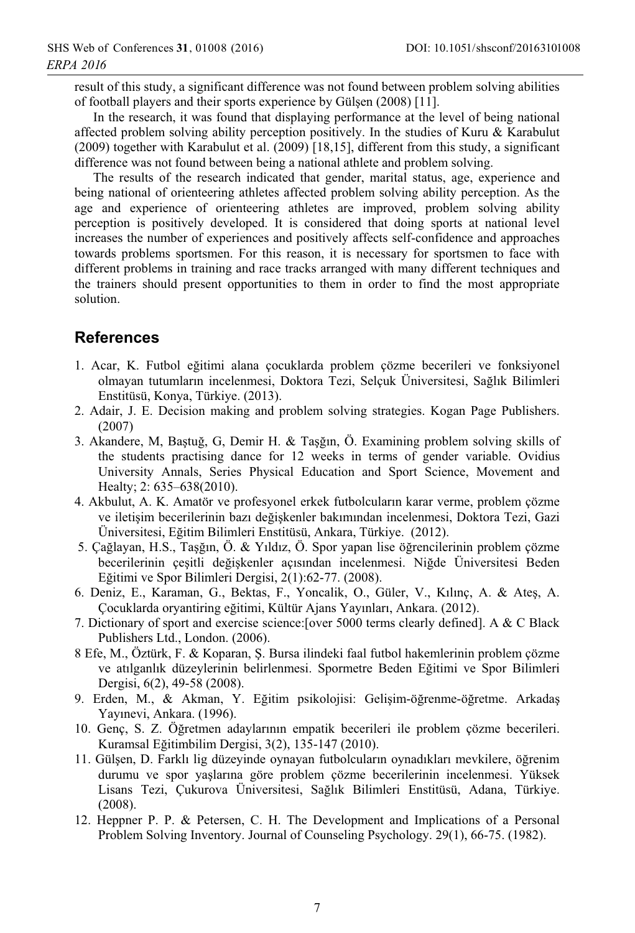result of this study, a significant difference was not found between problem solving abilities of football players and their sports experience by Gülsen (2008) [11].

In the research, it was found that displaying performance at the level of being national affected problem solving ability perception positively. In the studies of Kuru & Karabulut (2009) together with Karabulut et al. (2009) [18,15], different from this study, a significant difference was not found between being a national athlete and problem solving.

The results of the research indicated that gender, marital status, age, experience and being national of orienteering athletes affected problem solving ability perception. As the age and experience of orienteering athletes are improved, problem solving ability perception is positively developed. It is considered that doing sports at national level increases the number of experiences and positively affects self-confidence and approaches towards problems sportsmen. For this reason, it is necessary for sportsmen to face with different problems in training and race tracks arranged with many different techniques and the trainers should present opportunities to them in order to find the most appropriate solution.

## **References**

- 1. Acar, K. Futbol eğitimi alana çocuklarda problem çözme becerileri ve fonksiyonel olmayan tutumların incelenmesi, Doktora Tezi, Selçuk Üniversitesi, Sağlık Bilimleri Enstitüsü, Konya, Türkiye. (2013).
- 2. Adair, J. E. Decision making and problem solving strategies. Kogan Page Publishers.  $(2007)$
- 3. Akandere, M, Bastuğ, G, Demir H, & Tasğın, Ö, Examining problem solving skills of the students practising dance for 12 weeks in terms of gender variable. Ovidius University Annals, Series Physical Education and Sport Science, Movement and Healty; 2: 635–638(2010).
- 4. Akbulut, A. K. Amatör ve profesyonel erkek futbolcuların karar verme, problem çözme ve iletişim becerilerinin bazı değişkenler bakımından incelenmesi, Doktora Tezi, Gazi Üniversitesi, Eğitim Bilimleri Enstitüsü, Ankara, Türkiye. (2012).
- 5. Çağlayan, H.S., Taşğın, Ö. & Yıldız, Ö. Spor yapan lise öğrencilerinin problem çözme becerilerinin çeşitli değişkenler açısından incelenmesi. Niğde Üniversitesi Beden Eğitimi ve Spor Bilimleri Dergisi, 2(1):62-77. (2008).
- 6. Deniz, E., Karaman, G., Bektas, F., Yoncalik, O., Güler, V., Kılınç, A. & Ates, A. Çocuklarda oryantiring eğitimi, Kültür Ajans Yayınları, Ankara. (2012).
- 7. Dictionary of sport and exercise science: [over 5000 terms clearly defined]. A & C Black Publishers Ltd., London. (2006).
- 8 Efe, M., Öztürk, F. & Koparan, S. Bursa ilindeki faal futbol hakemlerinin problem çözme ve atılganlık düzeylerinin belirlenmesi. Spormetre Beden Eğitimi ve Spor Bilimleri Dergisi, 6(2), 49-58 (2008).
- 9. Erden, M., & Akman, Y. Eğitim psikolojisi: Gelisim-öğrenme-öğretme. Arkadas Yayınevi, Ankara. (1996).
- 10. Genc, S. Z. Öğretmen adaylarının empatik becerileri ile problem çözme becerileri. Kuramsal Eğitimbilim Dergisi, 3(2), 135-147 (2010).
- 11. Gülsen, D. Farklı lig düzevinde oynayan futbolcuların oynadıkları meykilere, öğrenim durumu ve spor yaşlarına göre problem çözme becerilerinin incelenmesi. Yüksek Lisans Tezi, Çukurova Üniversitesi, Sağlık Bilimleri Enstitüsü, Adana, Türkiye.  $(2008).$
- 12. Heppner P. P. & Petersen, C. H. The Development and Implications of a Personal Problem Solving Inventory. Journal of Counseling Psychology. 29(1), 66-75. (1982).